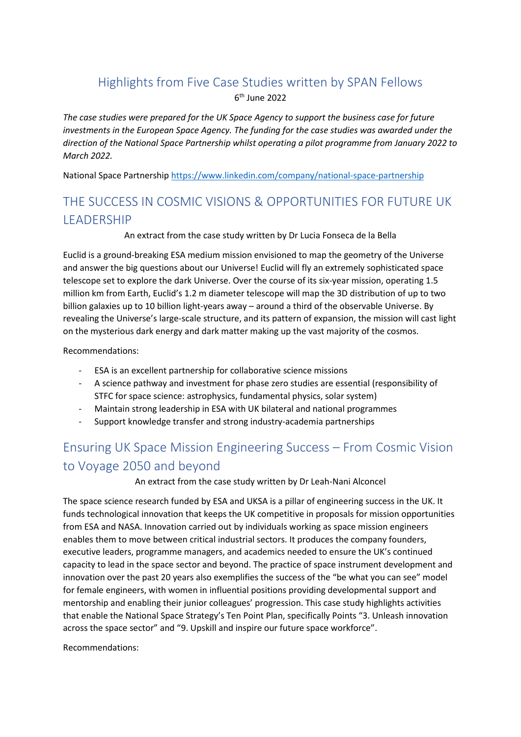## Highlights from Five Case Studies written by SPAN Fellows

6 th June 2022

*The case studies were prepared for the UK Space Agency to support the business case for future investments in the European Space Agency. The funding for the case studies was awarded under the direction of the National Space Partnership whilst operating a pilot programme from January 2022 to March 2022.*

National Space Partnershi[p https://www.linkedin.com/company/national-space-partnership](https://www.linkedin.com/company/national-space-partnership)

# THE SUCCESS IN COSMIC VISIONS & OPPORTUNITIES FOR FUTURE UK LEADERSHIP

#### An extract from the case study written by Dr Lucia Fonseca de la Bella

Euclid is a ground-breaking ESA medium mission envisioned to map the geometry of the Universe and answer the big questions about our Universe! Euclid will fly an extremely sophisticated space telescope set to explore the dark Universe. Over the course of its six-year mission, operating 1.5 million km from Earth, Euclid's 1.2 m diameter telescope will map the 3D distribution of up to two billion galaxies up to 10 billion light-years away – around a third of the observable Universe. By revealing the Universe's large-scale structure, and its pattern of expansion, the mission will cast light on the mysterious dark energy and dark matter making up the vast majority of the cosmos.

Recommendations:

- ESA is an excellent partnership for collaborative science missions
- A science pathway and investment for phase zero studies are essential (responsibility of STFC for space science: astrophysics, fundamental physics, solar system)
- Maintain strong leadership in ESA with UK bilateral and national programmes
- Support knowledge transfer and strong industry-academia partnerships

# Ensuring UK Space Mission Engineering Success – From Cosmic Vision to Voyage 2050 and beyond

An extract from the case study written by Dr Leah-Nani Alconcel

The space science research funded by ESA and UKSA is a pillar of engineering success in the UK. It funds technological innovation that keeps the UK competitive in proposals for mission opportunities from ESA and NASA. Innovation carried out by individuals working as space mission engineers enables them to move between critical industrial sectors. It produces the company founders, executive leaders, programme managers, and academics needed to ensure the UK's continued capacity to lead in the space sector and beyond. The practice of space instrument development and innovation over the past 20 years also exemplifies the success of the "be what you can see" model for female engineers, with women in influential positions providing developmental support and mentorship and enabling their junior colleagues' progression. This case study highlights activities that enable the National Space Strategy's Ten Point Plan, specifically Points "3. Unleash innovation across the space sector" and "9. Upskill and inspire our future space workforce".

Recommendations: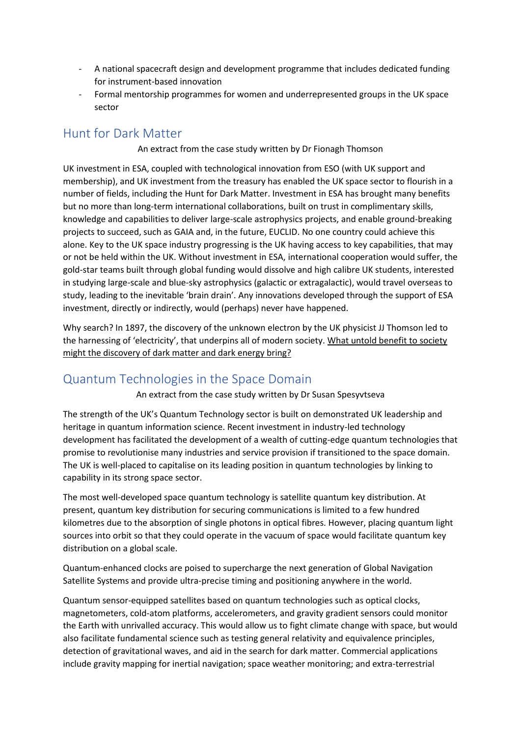- A national spacecraft design and development programme that includes dedicated funding for instrument-based innovation
- Formal mentorship programmes for women and underrepresented groups in the UK space sector

### Hunt for Dark Matter

An extract from the case study written by Dr Fionagh Thomson

UK investment in ESA, coupled with technological innovation from ESO (with UK support and membership), and UK investment from the treasury has enabled the UK space sector to flourish in a number of fields, including the Hunt for Dark Matter. Investment in ESA has brought many benefits but no more than long-term international collaborations, built on trust in complimentary skills, knowledge and capabilities to deliver large-scale astrophysics projects, and enable ground-breaking projects to succeed, such as GAIA and, in the future, EUCLID. No one country could achieve this alone. Key to the UK space industry progressing is the UK having access to key capabilities, that may or not be held within the UK. Without investment in ESA, international cooperation would suffer, the gold-star teams built through global funding would dissolve and high calibre UK students, interested in studying large-scale and blue-sky astrophysics (galactic or extragalactic), would travel overseas to study, leading to the inevitable 'brain drain'. Any innovations developed through the support of ESA investment, directly or indirectly, would (perhaps) never have happened.

Why search? In 1897, the discovery of the unknown electron by the UK physicist JJ Thomson led to the harnessing of 'electricity', that underpins all of modern society. What untold benefit to society might the discovery of dark matter and dark energy bring?

## Quantum Technologies in the Space Domain

An extract from the case study written by Dr Susan Spesyvtseva

The strength of the UK's Quantum Technology sector is built on demonstrated UK leadership and heritage in quantum information science. Recent investment in industry-led technology development has facilitated the development of a wealth of cutting-edge quantum technologies that promise to revolutionise many industries and service provision if transitioned to the space domain. The UK is well-placed to capitalise on its leading position in quantum technologies by linking to capability in its strong space sector.

The most well-developed space quantum technology is satellite quantum key distribution. At present, quantum key distribution for securing communications is limited to a few hundred kilometres due to the absorption of single photons in optical fibres. However, placing quantum light sources into orbit so that they could operate in the vacuum of space would facilitate quantum key distribution on a global scale.

Quantum-enhanced clocks are poised to supercharge the next generation of Global Navigation Satellite Systems and provide ultra-precise timing and positioning anywhere in the world.

Quantum sensor-equipped satellites based on quantum technologies such as optical clocks, magnetometers, cold-atom platforms, accelerometers, and gravity gradient sensors could monitor the Earth with unrivalled accuracy. This would allow us to fight climate change with space, but would also facilitate fundamental science such as testing general relativity and equivalence principles, detection of gravitational waves, and aid in the search for dark matter. Commercial applications include gravity mapping for inertial navigation; space weather monitoring; and extra-terrestrial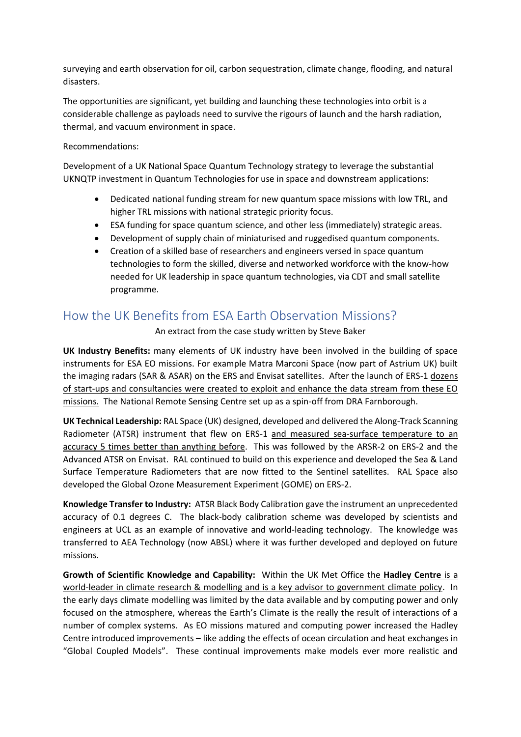surveying and earth observation for oil, carbon sequestration, climate change, flooding, and natural disasters.

The opportunities are significant, yet building and launching these technologies into orbit is a considerable challenge as payloads need to survive the rigours of launch and the harsh radiation, thermal, and vacuum environment in space.

#### Recommendations:

Development of a UK National Space Quantum Technology strategy to leverage the substantial UKNQTP investment in Quantum Technologies for use in space and downstream applications:

- Dedicated national funding stream for new quantum space missions with low TRL, and higher TRL missions with national strategic priority focus.
- ESA funding for space quantum science, and other less (immediately) strategic areas.
- Development of supply chain of miniaturised and ruggedised quantum components.
- Creation of a skilled base of researchers and engineers versed in space quantum technologies to form the skilled, diverse and networked workforce with the know-how needed for UK leadership in space quantum technologies, via CDT and small satellite programme.

## How the UK Benefits from ESA Earth Observation Missions?

#### An extract from the case study written by Steve Baker

**UK Industry Benefits:** many elements of UK industry have been involved in the building of space instruments for ESA EO missions. For example Matra Marconi Space (now part of Astrium UK) built the imaging radars (SAR & ASAR) on the ERS and Envisat satellites. After the launch of ERS-1 dozens of start-ups and consultancies were created to exploit and enhance the data stream from these EO missions. The National Remote Sensing Centre set up as a spin-off from DRA Farnborough.

**UK Technical Leadership:** RAL Space (UK) designed, developed and delivered the Along-Track Scanning Radiometer (ATSR) instrument that flew on ERS-1 and measured sea-surface temperature to an accuracy 5 times better than anything before. This was followed by the ARSR-2 on ERS-2 and the Advanced ATSR on Envisat. RAL continued to build on this experience and developed the Sea & Land Surface Temperature Radiometers that are now fitted to the Sentinel satellites. RAL Space also developed the Global Ozone Measurement Experiment (GOME) on ERS-2.

**Knowledge Transfer to Industry:** ATSR Black Body Calibration gave the instrument an unprecedented accuracy of 0.1 degrees C. The black-body calibration scheme was developed by scientists and engineers at UCL as an example of innovative and world-leading technology. The knowledge was transferred to AEA Technology (now ABSL) where it was further developed and deployed on future missions.

**Growth of Scientific Knowledge and Capability:** Within the UK Met Office the **Hadley Centre** is a world-leader in climate research & modelling and is a key advisor to government climate policy. In the early days climate modelling was limited by the data available and by computing power and only focused on the atmosphere, whereas the Earth's Climate is the really the result of interactions of a number of complex systems. As EO missions matured and computing power increased the Hadley Centre introduced improvements – like adding the effects of ocean circulation and heat exchanges in "Global Coupled Models". These continual improvements make models ever more realistic and